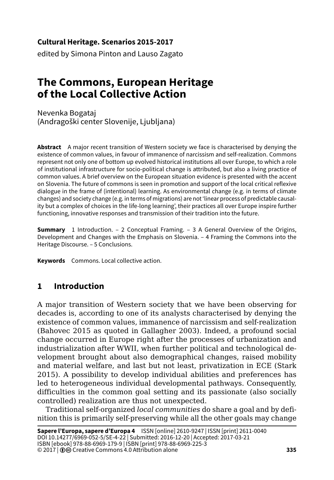### **Cultural Heritage. Scenarios 2015-2017**

edited by Simona Pinton and Lauso Zagato

# **The Commons, European Heritage of the Local Collective Action**

Nevenka Bogataj (Andragoški center Slovenije, Ljubljana)

**Abstract** A major recent transition of Western society we face is characterised by denying the existence of common values, in favour of immanence of narcissism and self-realization. Commons represent not only one of bottom up evolved historical institutions all over Europe, to which a role of institutional infrastructure for socio-political change is attributed, but also a living practice of common values. A brief overview on the European situation evidence is presented with the accent on Slovenia. The future of commons is seen in promotion and support of the local critical reflexive dialogue in the frame of (intentional) learning. As environmental change (e.g. in terms of climate changes) and society change (e.g. in terms of migrations) are not 'linear process of predictable causality but a complex of choices in the life-long learning', their practices all over Europe inspire further functioning, innovative responses and transmission of their tradition into the future.

**Summary** 1 Introduction. – 2 Conceptual Framing. – 3 A General Overview of the Origins, Development and Changes with the Emphasis on Slovenia. – 4 Framing the Commons into the Heritage Discourse. – 5 Conclusions.

**Keywords** Commons. Local collective action.

# **1 Introduction**

A major transition of Western society that we have been observing for decades is, according to one of its analysts characterised by denying the existence of common values, immanence of narcissism and self-realization (Bahovec 2015 as quoted in Gallagher 2003). Indeed, a profound social change occurred in Europe right after the processes of urbanization and industrialization after WWII, when further political and technological development brought about also demographical changes, raised mobility and material welfare, and last but not least, privatization in ECE (Stark 2015). A possibility to develop individual abilities and preferences has led to heterogeneous individual developmental pathways. Consequently, difficulties in the common goal setting and its passionate (also socially controlled) realization are thus not unexpected.

Traditional self-organized *local communities* do share a goal and by definition this is primarily self-preserving while all the other goals may change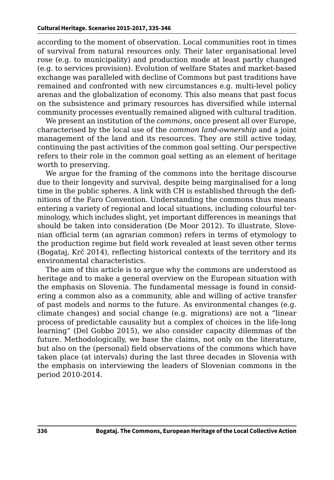according to the moment of observation. Local communities root in times of survival from natural resources only. Their later organisational level rose (e.g. to municipality) and production mode at least partly changed (e.g. to services provision). Evolution of welfare States and market-based exchange was paralleled with decline of Commons but past traditions have remained and confronted with new circumstances e.g. multi-level policy arenas and the globalization of economy. This also means that past focus on the subsistence and primary resources has diversified while internal community processes eventually remained aligned with cultural tradition.

We present an institution of the *commons*, once present all over Europe, characterised by the local use of the *common land-ownership* and a joint management of the land and its resources. They are still active today, continuing the past activities of the common goal setting. Our perspective refers to their role in the common goal setting as an element of heritage worth to preserving.

We argue for the framing of the commons into the heritage discourse due to their longevity and survival, despite being marginalised for a long time in the public spheres. A link with CH is established through the definitions of the Faro Convention. Understanding the commons thus means entering a variety of regional and local situations, including colourful terminology, which includes slight, yet important differences in meanings that should be taken into consideration (De Moor 2012). To illustrate, Slovenian official term (an agrarian common) refers in terms of etymology to the production regime but field work revealed at least seven other terms (Bogataj, Krč 2014), reflecting historical contexts of the territory and its environmental characteristics.

The aim of this article is to argue why the commons are understood as heritage and to make a general overview on the European situation with the emphasis on Slovenia. The fundamental message is found in considering a common also as a community, able and willing of active transfer of past models and norms to the future. As environmental changes (e.g. climate changes) and social change (e.g. migrations) are not a "linear process of predictable causality but a complex of choices in the life-long learning" (Del Gobbo 2015), we also consider capacity dilemmas of the future. Methodologically, we base the claims, not only on the literature, but also on the (personal) field observations of the commons which have taken place (at intervals) during the last three decades in Slovenia with the emphasis on interviewing the leaders of Slovenian commons in the period 2010-2014.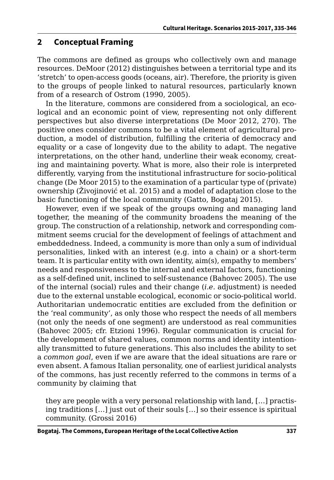### **2 Conceptual Framing**

The commons are defined as groups who collectively own and manage resources. DeMoor (2012) distinguishes between a territorial type and its 'stretch' to open-access goods (oceans, air). Therefore, the priority is given to the groups of people linked to natural resources, particularly known from of a research of Ostrom (1990, 2005).

In the literature, commons are considered from a sociological, an ecological and an economic point of view, representing not only different perspectives but also diverse interpretations (De Moor 2012, 270). The positive ones consider commons to be a vital element of agricultural production, a model of distribution, fulfilling the criteria of democracy and equality or a case of longevity due to the ability to adapt. The negative interpretations, on the other hand, underline their weak economy, creating and maintaining poverty. What is more, also their role is interpreted differently, varying from the institutional infrastructure for socio-political change (De Moor 2015) to the examination of a particular type of (private) ownership (Živojinović et al. 2015) and a model of adaptation close to the basic functioning of the local community (Gatto, Bogataj 2015).

However, even if we speak of the groups owning and managing land together, the meaning of the community broadens the meaning of the group. The construction of a relationship, network and corresponding commitment seems crucial for the development of feelings of attachment and embeddedness. Indeed, a community is more than only a sum of individual personalities, linked with an interest (e.g. into a chain) or a short-term team. It is particular entity with own identity, aim(s), empathy to members' needs and responsiveness to the internal and external factors, functioning as a self-defined unit, inclined to self-sustenance (Bahovec 2005). The use of the internal (social) rules and their change (*i.e.* adjustment) is needed due to the external unstable ecological, economic or socio-political world. Authoritarian undemocratic entities are excluded from the definition or the 'real community', as only those who respect the needs of all members (not only the needs of one segment) are understood as real communities (Bahovec 2005; cfr. Etzioni 1996). Regular communication is crucial for the development of shared values, common norms and identity intentionally transmitted to future generations. This also includes the ability to set a *common goal*, even if we are aware that the ideal situations are rare or even absent. A famous Italian personality, one of earliest juridical analysts of the commons, has just recently referred to the commons in terms of a community by claiming that

they are people with a very personal relationship with land, […] practising traditions […] just out of their souls […] so their essence is spiritual community. (Grossi 2016)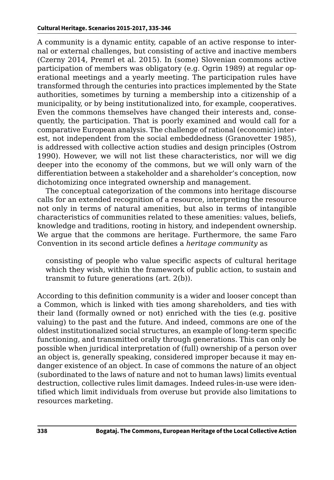A community is a dynamic entity, capable of an active response to internal or external challenges, but consisting of active and inactive members (Czerny 2014, Premrl et al. 2015). In (some) Slovenian commons active participation of members was obligatory (e.g. Ogrin 1989) at regular operational meetings and a yearly meeting. The participation rules have transformed through the centuries into practices implemented by the State authorities, sometimes by turning a membership into a citizenship of a municipality, or by being institutionalized into, for example, cooperatives. Even the commons themselves have changed their interests and, consequently, the participation. That is poorly examined and would call for a comparative European analysis. The challenge of rational (economic) interest, not independent from the social embeddedness (Granovetter 1985), is addressed with collective action studies and design principles (Ostrom 1990). However, we will not list these characteristics, nor will we dig deeper into the economy of the commons, but we will only warn of the differentiation between a stakeholder and a shareholder's conception, now dichotomizing once integrated ownership and management.

The conceptual categorization of the commons into heritage discourse calls for an extended recognition of a resource, interpreting the resource not only in terms of natural amenities, but also in terms of intangible characteristics of communities related to these amenities: values, beliefs, knowledge and traditions, rooting in history, and independent ownership. We argue that the commons are heritage. Furthermore, the same Faro Convention in its second article defines a *heritage community* as

consisting of people who value specific aspects of cultural heritage which they wish, within the framework of public action, to sustain and transmit to future generations (art. 2(b)).

According to this definition community is a wider and looser concept than a Common, which is linked with ties among shareholders, and ties with their land (formally owned or not) enriched with the ties (e.g. positive valuing) to the past and the future. And indeed, commons are one of the oldest institutionalized social structures, an example of long-term specific functioning, and transmitted orally through generations. This can only be possible when juridical interpretation of (full) ownership of a person over an object is, generally speaking, considered improper because it may endanger existence of an object. In case of commons the nature of an object (subordinated to the laws of nature and not to human laws) limits eventual destruction, collective rules limit damages. Indeed rules-in-use were identified which limit individuals from overuse but provide also limitations to resources marketing.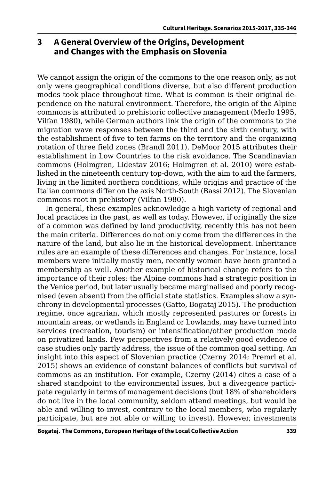# **3 A General Overview of the Origins, Development and Changes with the Emphasis on Slovenia**

We cannot assign the origin of the commons to the one reason only, as not only were geographical conditions diverse, but also different production modes took place throughout time. What is common is their original dependence on the natural environment. Therefore, the origin of the Alpine commons is attributed to prehistoric collective management (Merlo 1995, Vilfan 1980), while German authors link the origin of the commons to the migration wave responses between the third and the sixth century, with the establishment of five to ten farms on the territory and the organizing rotation of three field zones (Brandl 2011). DeMoor 2015 attributes their establishment in Low Countries to the risk avoidance. The Scandinavian commons (Holmgren, Lidestav 2016; Holmgren et al. 2010) were established in the nineteenth century top-down, with the aim to aid the farmers, living in the limited northern conditions, while origins and practice of the Italian commons differ on the axis North-South (Bassi 2012). The Slovenian commons root in prehistory (Vilfan 1980).

In general, these examples acknowledge a high variety of regional and local practices in the past, as well as today. However, if originally the size of a common was defined by land productivity, recently this has not been the main criteria. Differences do not only come from the differences in the nature of the land, but also lie in the historical development. Inheritance rules are an example of these differences and changes. For instance, local members were initially mostly men, recently women have been granted a membership as well. Another example of historical change refers to the importance of their roles: the Alpine commons had a strategic position in the Venice period, but later usually became marginalised and poorly recognised (even absent) from the official state statistics. Examples show a synchrony in developmental processes (Gatto, Bogataj 2015). The production regime, once agrarian, which mostly represented pastures or forests in mountain areas, or wetlands in England or Lowlands, may have turned into services (recreation, tourism) or intensification/other production mode on privatized lands. Few perspectives from a relatively good evidence of case studies only partly address, the issue of the common goal setting. An insight into this aspect of Slovenian practice (Czerny 2014; Premrl et al. 2015) shows an evidence of constant balances of conflicts but survival of commons as an institution. For example, Czerny (2014) cites a case of a shared standpoint to the environmental issues, but a divergence participate regularly in terms of management decisions (but 18% of shareholders do not live in the local community, seldom attend meetings, but would be able and willing to invest, contrary to the local members, who regularly participate, but are not able or willing to invest). However, investments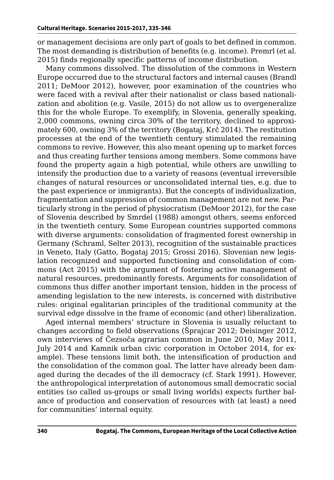or management decisions are only part of goals to bet defined in common. The most demanding is distribution of benefits (e.g. income). Premrl (et al. 2015) finds regionally specific patterns of income distribution.

Many commons dissolved. The dissolution of the commons in Western Europe occurred due to the structural factors and internal causes (Brandl 2011; DeMoor 2012), however, poor examination of the countries who were faced with a revival after their nationalist or class based nationalization and abolition (e.g. Vasile, 2015) do not allow us to overgeneralize this for the whole Europe. To exemplify, in Slovenia, generally speaking, 2,000 commons, owning circa 30% of the territory, declined to approximately 600, owning 3% of the territory (Bogataj, Krč 2014). The restitution processes at the end of the twentieth century stimulated the remaining commons to revive. However, this also meant opening up to market forces and thus creating further tensions among members. Some commons have found the property again a high potential, while others are unwilling to intensify the production due to a variety of reasons (eventual irreversible changes of natural resources or unconsolidated internal ties, e.g. due to the past experience or immigrants). But the concepts of individualization, fragmentation and suppression of common management are not new. Particularly strong in the period of physiocratism (DeMoor 2012), for the case of Slovenia described by Smrdel (1988) amongst others, seems enforced in the twentieth century. Some European countries supported commons with diverse arguments: consolidation of fragmented forest ownership in Germany (Schraml, Selter 2013), recognition of the sustainable practices in Veneto, Italy (Gatto, Bogataj 2015; Grossi 2016). Slovenian new legislation recognized and supported functioning and consolidation of commons (Act 2015) with the argument of fostering active management of natural resources, predominantly forests. Arguments for consolidation of commons thus differ another important tension, hidden in the process of amending legislation to the new interests, is concerned with distributive rules: original egalitarian principles of the traditional community at the survival edge dissolve in the frame of economic (and other) liberalization.

Aged internal members' structure in Slovenia is usually reluctant to changes according to field observations (Šprajcar 2012; Deisinger 2012, own interviews of Čezsoča agrarian common in June 2010, May 2011, July 2014 and Kamnik urban civic corporation in October 2014, for example). These tensions limit both, the intensification of production and the consolidation of the common goal. The latter have already been damaged during the decades of the ill democracy (cf. Stark 1991). However, the anthropological interpretation of autonomous small democratic social entities (so called us-groups or small living worlds) expects further balance of production and conservation of resources with (at least) a need for communities' internal equity.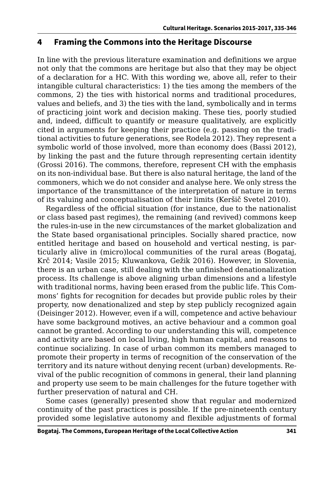#### **4 Framing the Commons into the Heritage Discourse**

In line with the previous literature examination and definitions we argue not only that the commons are heritage but also that they may be object of a declaration for a HC. With this wording we, above all, refer to their intangible cultural characteristics: 1) the ties among the members of the commons, 2) the ties with historical norms and traditional procedures, values and beliefs, and 3) the ties with the land, symbolically and in terms of practicing joint work and decision making. These ties, poorly studied and, indeed, difficult to quantify or measure qualitatively, are explicitly cited in arguments for keeping their practice (e.g. passing on the traditional activities to future generations, see Rodela 2012). They represent a symbolic world of those involved, more than economy does (Bassi 2012), by linking the past and the future through representing certain identity (Grossi 2016). The commons, therefore, represent CH with the emphasis on its non-individual base. But there is also natural heritage, the land of the commoners, which we do not consider and analyse here. We only stress the importance of the transmittance of the interpretation of nature in terms of its valuing and conceptualisation of their limits (Keršič Svetel 2010).

Regardless of the official situation (for instance, due to the nationalist or class based past regimes), the remaining (and revived) commons keep the rules-in-use in the new circumstances of the market globalization and the State based organisational principles. Socially shared practice, now entitled heritage and based on household and vertical nesting, is particularly alive in (micro)local communities of the rural areas (Bogataj, Krč 2014; Vasile 2015; Kluwankova, Gežik 2016). However, in Slovenia, there is an urban case, still dealing with the unfinished denationalization process. Its challenge is above aligning urban dimensions and a lifestyle with traditional norms, having been erased from the public life. This Commons' fights for recognition for decades but provide public roles by their property, now denationalized and step by step publicly recognized again (Deisinger 2012). However, even if a will, competence and active behaviour have some background motives, an active behaviour and a common goal cannot be granted. According to our understanding this will, competence and activity are based on local living, high human capital, and reasons to continue socializing. In case of urban common its members managed to promote their property in terms of recognition of the conservation of the territory and its nature without denying recent (urban) developments. Revival of the public recognition of commons in general, their land planning and property use seem to be main challenges for the future together with further preservation of natural and CH.

Some cases (generally) presented show that regular and modernized continuity of the past practices is possible. If the pre-nineteenth century provided some legislative autonomy and flexible adjustments of formal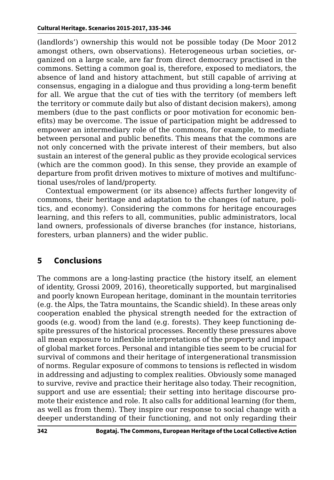(landlords') ownership this would not be possible today (De Moor 2012 amongst others, own observations). Heterogeneous urban societies, organized on a large scale, are far from direct democracy practised in the commons. Setting a common goal is, therefore, exposed to mediators, the absence of land and history attachment, but still capable of arriving at consensus, engaging in a dialogue and thus providing a long-term benefit for all. We argue that the cut of ties with the territory (of members left the territory or commute daily but also of distant decision makers), among members (due to the past conflicts or poor motivation for economic benefits) may be overcome. The issue of participation might be addressed to empower an intermediary role of the commons, for example, to mediate between personal and public benefits. This means that the commons are not only concerned with the private interest of their members, but also sustain an interest of the general public as they provide ecological services (which are the common good). In this sense, they provide an example of departure from profit driven motives to mixture of motives and multifunctional uses/roles of land/property.

Contextual empowerment (or its absence) affects further longevity of commons, their heritage and adaptation to the changes (of nature, politics, and economy). Considering the commons for heritage encourages learning, and this refers to all, communities, public administrators, local land owners, professionals of diverse branches (for instance, historians, foresters, urban planners) and the wider public.

# **5 Conclusions**

The commons are a long-lasting practice (the history itself, an element of identity, Grossi 2009, 2016), theoretically supported, but marginalised and poorly known European heritage, dominant in the mountain territories (e.g. the Alps, the Tatra mountains, the Scandic shield). In these areas only cooperation enabled the physical strength needed for the extraction of goods (e.g. wood) from the land (e.g. forests). They keep functioning despite pressures of the historical processes. Recently these pressures above all mean exposure to inflexible interpretations of the property and impact of global market forces. Personal and intangible ties seem to be crucial for survival of commons and their heritage of intergenerational transmission of norms. Regular exposure of commons to tensions is reflected in wisdom in addressing and adjusting to complex realities. Obviously some managed to survive, revive and practice their heritage also today. Their recognition, support and use are essential; their setting into heritage discourse promote their existence and role. It also calls for additional learning (for them, as well as from them). They inspire our response to social change with a deeper understanding of their functioning, and not only regarding their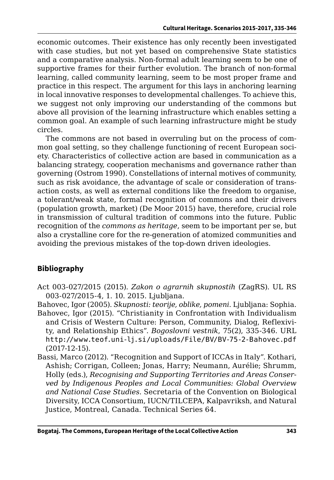economic outcomes. Their existence has only recently been investigated with case studies, but not yet based on comprehensive State statistics and a comparative analysis. Non-formal adult learning seem to be one of supportive frames for their further evolution. The branch of non-formal learning, called community learning, seem to be most proper frame and practice in this respect. The argument for this lays in anchoring learning in local innovative responses to developmental challenges. To achieve this, we suggest not only improving our understanding of the commons but above all provision of the learning infrastructure which enables setting a common goal. An example of such learning infrastructure might be study circles.

The commons are not based in overruling but on the process of common goal setting, so they challenge functioning of recent European society. Characteristics of collective action are based in communication as a balancing strategy, cooperation mechanisms and governance rather than governing (Ostrom 1990). Constellations of internal motives of community, such as risk avoidance, the advantage of scale or consideration of transaction costs, as well as external conditions like the freedom to organise, a tolerant/weak state, formal recognition of commons and their drivers (population growth, market) (De Moor 2015) have, therefore, crucial role in transmission of cultural tradition of commons into the future. Public recognition of the *commons as heritage*, seem to be important per se, but also a crystalline core for the re-generation of atomized communities and avoiding the previous mistakes of the top-down driven ideologies.

#### **Bibliography**

- Act 003-027/2015 (2015). *Zakon o agrarnih skupnostih* (ZagRS). UL RS 003-027/2015-4, 1. 10. 2015. Ljubljana.
- Bahovec, Igor (2005). *Skupnosti: teorije, oblike, pomeni*. Ljubljana: Sophia. Bahovec, Igor (2015). "Christianity in Confrontation with Individualism and Crisis of Western Culture: Person, Community, Dialog, Reflexivity, and Relationship Ethics". *Bogoslovni vestnik*, 75(2), 335-346. URL <http://www.teof.uni-lj.si/uploads/File/BV/BV-75-2-Bahovec.pdf> (2017-12-15).
- Bassi, Marco (2012). "Recognition and Support of ICCAs in Italy". Kothari, Ashish; Corrigan, Colleen; Jonas, Harry; Neumann, Aurélie; Shrumm, Holly (eds.), *Recognising and Supporting Territories and Areas Conserved by Indigenous Peoples and Local Communities: Global Overview and National Case Studies*. Secretaria of the Convention on Biological Diversity, ICCA Consortium, IUCN/TILCEPA, Kalpavriksh, and Natural Justice, Montreal, Canada. Technical Series 64.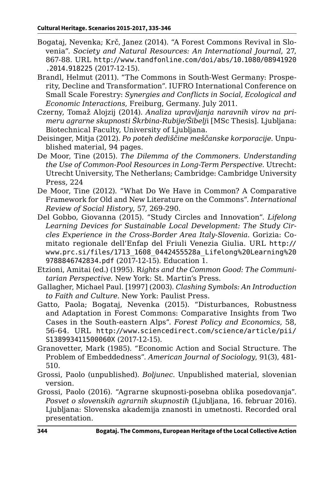- Bogataj, Nevenka; Krč, Janez (2014). "A Forest Commons Revival in Slovenia". *Society and Natural Resources: An International Journal*, 27, 867-88. URL [http://www.tandfonline.com/doi/abs/10.1080/08941920](http://www.tandfonline.com/doi/abs/10.1080/08941920.2014.918225) [.2014.918225](http://www.tandfonline.com/doi/abs/10.1080/08941920.2014.918225) (2017-12-15).
- Brandl, Helmut (2011). "The Commons in South-West Germany: Prosperity, Decline and Transformation". IUFRO International Conference on Small Scale Forestry: *Synergies and Conflicts in Social, Ecological and Economic Interactions*, Freiburg, Germany. July 2011.
- Czerny, Tomaž Alojzij (2014). *Analiza upravljanja naravnih virov na primeru agrarne skupnosti Škrbina-Rubije/Šibelj*i [MSc Thesis]. Ljubljana: Biotechnical Faculty, University of Ljubljana.
- Deisinger, Mitja (2012). *Po poteh dediščine meščanske korporacije*. Unpublished material, 94 pages.
- De Moor, Tine (2015). *The Dilemma of the Commoners. Understanding the Use of Common-Pool Resources in Long-Term Perspective*. Utrecht: Utrecht University, The Netherlans; Cambridge: Cambridge University Press, 224
- De Moor, Tine (2012). "What Do We Have in Common? A Comparative Framework for Old and New Literature on the Commons". *International Review of Social History*, 57, 269-290.
- Del Gobbo, Giovanna (2015). "Study Circles and Innovation". *Lifelong Learning Devices for Sustainable Local Development: The Study Circles Experience in the Cross-Border Area Italy-Slovenia*. Gorizia: Comitato regionale dell'Enfap del Friuli Venezia Giulia. URL [http://](http://www.prc.si/files/1713_1608_0442455528a_Lifelong%20Learning%209788846742834.pdf) [www.prc.si/files/1713\\_1608\\_0442455528a\\_Lifelong%20Learning%20](http://www.prc.si/files/1713_1608_0442455528a_Lifelong%20Learning%209788846742834.pdf) [9788846742834.pdf](http://www.prc.si/files/1713_1608_0442455528a_Lifelong%20Learning%209788846742834.pdf) (2017-12-15). Education 1.
- Etzioni, Amitai (ed.) (1995). R*ights and the Common Good: The Communitarian Perspective*. New York: St. Martin's Press.
- Gallagher, Michael Paul. [1997] (2003). *Clashing Symbols: An Introduction to Faith and Culture*. New York: Paulist Press.
- Gatto, Paola; Bogataj, Nevenka (2015). "Disturbances, Robustness and Adaptation in Forest Commons: Comparative Insights from Two Cases in the South-eastern Alps". *Forest Policy and Economics*, 58, 56-64. URL [http://www.sciencedirect.com/science/article/pii/](http://www.sciencedirect.com/science/article/pii/S138993411500060X) [S138993411500060X](http://www.sciencedirect.com/science/article/pii/S138993411500060X) (2017-12-15).
- Granovetter, Mark (1985). "Economic Action and Social Structure. The Problem of Embeddedness". *American Journal of Sociology*, 91(3), 481- 510.
- Grossi, Paolo (unpublished). *Boljunec*. Unpublished material, slovenian version.
- Grossi, Paolo (2016). "Agrarne skupnosti-posebna oblika posedovanja". *Posvet o slovenskih agrarnih skupnostih* (Ljubljana, 16. februar 2016). Ljubljana: Slovenska akademija znanosti in umetnosti. Recorded oral presentation.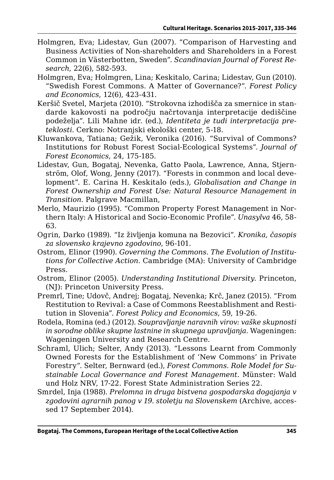- Holmgren, Eva; Lidestav, Gun (2007). "Comparison of Harvesting and Business Activities of Non-shareholders and Shareholders in a Forest Common in Västerbotten, Sweden". *Scandinavian Journal of Forest Research*, 22(6), 582-593.
- Holmgren, Eva; Holmgren, Lina; Keskitalo, Carina; Lidestav, Gun (2010). "Swedish Forest Commons. A Matter of Governance?". *Forest Policy and Economics*, 12(6), 423-431.
- Keršič Svetel, Marjeta (2010). "Strokovna izhodišča za smernice in standarde kakovosti na področju načrtovanja interpretacije dediščine podeželja". Lili Mahne idr. (ed.), *Identiteta je tudi interpretacija preteklosti*. Cerkno: Notranjski ekološki center, 5-18.
- Kluwankova, Tatiana; Gežik, Veronika (2016). "Survival of Commons? Institutions for Robust Forest Social-Ecological Systems". *Journal of Forest Economics*, 24, 175-185.
- Lidestav, Gun, Bogataj, Nevenka, Gatto Paola, Lawrence, Anna, Stjernström, Olof, Wong, Jenny (2017). "Forests in conmmon and local development". E. Carina H. Keskitalo (eds.), *Globalisation and Change in Forest Ownership and Forest Use: Natural Resource Management in Transition*. Palgrave Macmillan,
- Merlo, Maurizio (1995). "Common Property Forest Management in Northern Italy: A Historical and Socio-Economic Profile". *Unasylva* 46, 58- 63.
- Ogrin, Darko (1989). "Iz življenja komuna na Bezovici". *Kronika, časopis za slovensko krajevno zgodovino*, 96-101.
- Ostrom, Elinor (1990). *Governing the Commons. The Evolution of Institutions for Collective Action*. Cambridge (MA): University of Cambridge Press.
- Ostrom, Elinor (2005). *Understanding Institutional Diversity*. Princeton, (NJ): Princeton University Press.
- Premrl, Tine; Udovč, Andrej; Bogataj, Nevenka; Krč, Janez (2015). "From Restitution to Revival: a Case of Commons Reestablishment and Restitution in Slovenia". *Forest Policy and Economics*, 59, 19-26.
- Rodela, Romina (ed.) (2012). *Soupravljanje naravnih virov: vaške skupnosti in sorodne oblike skupne lastnine in skupnega upravljanja*. Wageningen: Wageningen University and Research Centre.
- Schraml, Ulich; Selter, Andy (2013). "Lessons Learnt from Commonly Owned Forests for the Establishment of 'New Commons' in Private Forestry". Selter, Bernward (ed.), *Forest Commons. Role Model for Sustainable Local Governance and Forest Management*. Münster: Wald und Holz NRV, 17-22. Forest State Administration Series 22.
- Smrdel, Inja (1988). *Prelomna in druga bistvena gospodarska dogajanja v zgodovini agrarnih panog v 19. stoletju na Slovenskem* (Archive, accessed 17 September 2014).